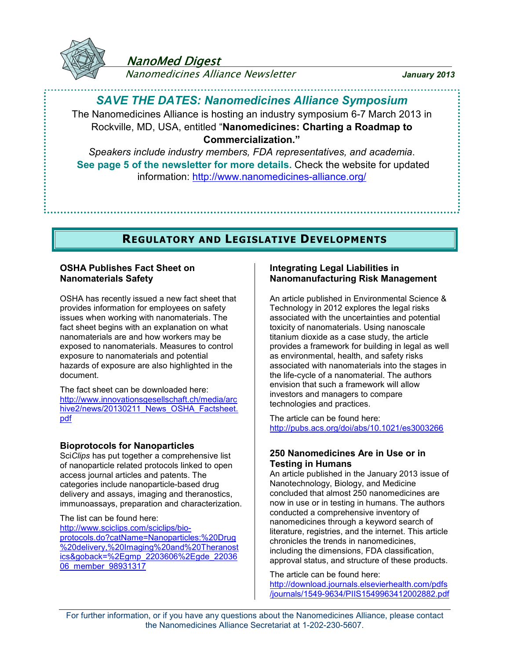

## NanoMed Digest

Nanomedicines Alliance Newsletter *January 2013*

## *SAVE THE DATES: Nanomedicines Alliance Symposium*

The Nanomedicines Alliance is hosting an industry symposium 6-7 March 2013 in Rockville, MD, USA, entitled "**Nanomedicines: Charting a Roadmap to Commercialization."**

*Speakers include industry members, FDA representatives, and academia*. **See page 5 of the newsletter for more details.** Check the website for updated information:<http://www.nanomedicines-alliance.org/>

## **REGULATORY AND LEGISLATIVE DEVELOPMENTS**

## **OSHA Publishes Fact Sheet on Nanomaterials Safety**

OSHA has recently issued a new fact sheet that provides information for employees on safety issues when working with nanomaterials. The fact sheet begins with an explanation on what nanomaterials are and how workers may be exposed to nanomaterials. Measures to control exposure to nanomaterials and potential hazards of exposure are also highlighted in the document.

The fact sheet can be downloaded here: [http://www.innovationsgesellschaft.ch/media/arc](http://www.innovationsgesellschaft.ch/media/archive2/news/20130211_News_OSHA_Factsheet.pdf) [hive2/news/20130211\\_News\\_OSHA\\_Factsheet.](http://www.innovationsgesellschaft.ch/media/archive2/news/20130211_News_OSHA_Factsheet.pdf) [pdf](http://www.innovationsgesellschaft.ch/media/archive2/news/20130211_News_OSHA_Factsheet.pdf)

## **Bioprotocols for Nanoparticles**

Sci*Clips* has put together a comprehensive list of nanoparticle related protocols linked to open access journal articles and patents. The categories include nanoparticle-based drug delivery and assays, imaging and theranostics, immunoassays, preparation and characterization.

The list can be found here: [http://www.sciclips.com/sciclips/bio](http://www.sciclips.com/sciclips/bio-protocols.do?catName=Nanoparticles: Drug delivery, Imaging and Theranostics&goback=.gmp_2203606.gde_2203606_member_98931317)[protocols.do?catName=Nanoparticles:%20Drug](http://www.sciclips.com/sciclips/bio-protocols.do?catName=Nanoparticles: Drug delivery, Imaging and Theranostics&goback=.gmp_2203606.gde_2203606_member_98931317) [%20delivery,%20Imaging%20and%20Theranost](http://www.sciclips.com/sciclips/bio-protocols.do?catName=Nanoparticles: Drug delivery, Imaging and Theranostics&goback=.gmp_2203606.gde_2203606_member_98931317) [ics&goback=%2Egmp\\_2203606%2Egde\\_22036](http://www.sciclips.com/sciclips/bio-protocols.do?catName=Nanoparticles: Drug delivery, Imaging and Theranostics&goback=.gmp_2203606.gde_2203606_member_98931317) [06\\_member\\_98931317](http://www.sciclips.com/sciclips/bio-protocols.do?catName=Nanoparticles: Drug delivery, Imaging and Theranostics&goback=.gmp_2203606.gde_2203606_member_98931317)

### **Integrating Legal Liabilities in Nanomanufacturing Risk Management**

An article published in Environmental Science & Technology in 2012 explores the legal risks associated with the uncertainties and potential toxicity of nanomaterials. Using nanoscale titanium dioxide as a case study, the article provides a framework for building in legal as well as environmental, health, and safety risks associated with nanomaterials into the stages in the life-cycle of a nanomaterial. The authors envision that such a framework will allow investors and managers to compare technologies and practices.

The article can be found here: <http://pubs.acs.org/doi/abs/10.1021/es3003266>

### **250 Nanomedicines Are in Use or in Testing in Humans**

An article published in the January 2013 issue of Nanotechnology, Biology, and Medicine concluded that almost 250 nanomedicines are now in use or in testing in humans. The authors conducted a comprehensive inventory of nanomedicines through a keyword search of literature, registries, and the internet. This article chronicles the trends in nanomedicines, including the dimensions, FDA classification, approval status, and structure of these products.

The article can be found here:

[http://download.journals.elsevierhealth.com/pdfs](http://download.journals.elsevierhealth.com/pdfs/journals/1549-9634/PIIS1549963412002882.pdf) [/journals/1549-9634/PIIS1549963412002882.pdf](http://download.journals.elsevierhealth.com/pdfs/journals/1549-9634/PIIS1549963412002882.pdf)

For further information, or if you have any questions about the Nanomedicines Alliance, please contact the Nanomedicines Alliance Secretariat at 1-202-230-5607.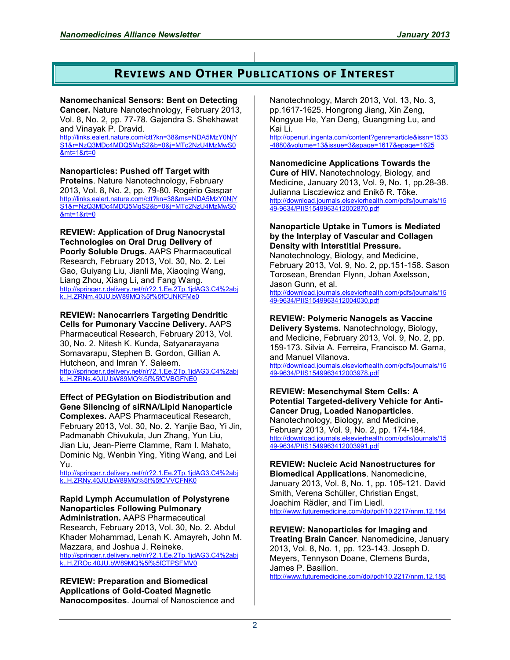## **REVIEWS AND OTHER PUBLICATIONS OF INTEREST**

#### **Nanomechanical Sensors: Bent on Detecting**

**Cancer.** Nature Nanotechnology, February 2013, Vol. 8, No. 2, pp. 77-78. Gajendra S. Shekhawat and Vinayak P. Dravid.

[http://links.ealert.nature.com/ctt?kn=38&ms=NDA5MzY0NjY](http://links.ealert.nature.com/ctt?kn=38&ms=NDA5MzY0NjYS1&r=NzQ3MDc4MDQ5MgS2&b=0&j=MTc2NzU4MzMwS0&mt=1&rt=0) [S1&r=NzQ3MDc4MDQ5MgS2&b=0&j=MTc2NzU4MzMwS0](http://links.ealert.nature.com/ctt?kn=38&ms=NDA5MzY0NjYS1&r=NzQ3MDc4MDQ5MgS2&b=0&j=MTc2NzU4MzMwS0&mt=1&rt=0) [&mt=1&rt=0](http://links.ealert.nature.com/ctt?kn=38&ms=NDA5MzY0NjYS1&r=NzQ3MDc4MDQ5MgS2&b=0&j=MTc2NzU4MzMwS0&mt=1&rt=0)

**Nanoparticles: Pushed off Target with Proteins**. Nature Nanotechnology, February 2013, Vol. 8, No. 2, pp. 79-80. Rogério Gaspar [http://links.ealert.nature.com/ctt?kn=38&ms=NDA5MzY0NjY](http://links.ealert.nature.com/ctt?kn=38&ms=NDA5MzY0NjYS1&r=NzQ3MDc4MDQ5MgS2&b=0&j=MTc2NzU4MzMwS0&mt=1&rt=0) [S1&r=NzQ3MDc4MDQ5MgS2&b=0&j=MTc2NzU4MzMwS0](http://links.ealert.nature.com/ctt?kn=38&ms=NDA5MzY0NjYS1&r=NzQ3MDc4MDQ5MgS2&b=0&j=MTc2NzU4MzMwS0&mt=1&rt=0) [&mt=1&rt=0](http://links.ealert.nature.com/ctt?kn=38&ms=NDA5MzY0NjYS1&r=NzQ3MDc4MDQ5MgS2&b=0&j=MTc2NzU4MzMwS0&mt=1&rt=0)

#### **REVIEW: Application of Drug Nanocrystal Technologies on Oral Drug Delivery of Poorly Soluble Drugs.** AAPS Pharmaceutical

Research, February 2013, Vol. 30, No. 2. Lei Gao, Guiyang Liu, Jianli Ma, Xiaoqing Wang, Liang Zhou, Xiang Li, and Fang Wang. [http://springer.r.delivery.net/r/r?2.1.Ee.2Tp.1jdAG3.C4%2abj](http://springer.r.delivery.net/r/r?2.1.Ee.2Tp.1jdAG3.C4*bjk..H.ZRNm.40JU.bW89MQ__CUNKFMe0) [k..H.ZRNm.40JU.bW89MQ%5f%5fCUNKFMe0](http://springer.r.delivery.net/r/r?2.1.Ee.2Tp.1jdAG3.C4*bjk..H.ZRNm.40JU.bW89MQ__CUNKFMe0)

# **REVIEW: Nanocarriers Targeting Dendritic**

**Cells for Pumonary Vaccine Delivery.** AAPS Pharmaceutical Research, February 2013, Vol. 30, No. 2. Nitesh K. Kunda, Satyanarayana Somavarapu, Stephen B. Gordon, Gillian A. Hutcheon, and Imran Y. Saleem. [http://springer.r.delivery.net/r/r?2.1.Ee.2Tp.1jdAG3.C4%2abj](http://springer.r.delivery.net/r/r?2.1.Ee.2Tp.1jdAG3.C4*bjk..H.ZRNs.40JU.bW89MQ__CVBGFNE0) [k..H.ZRNs.40JU.bW89MQ%5f%5fCVBGFNE0](http://springer.r.delivery.net/r/r?2.1.Ee.2Tp.1jdAG3.C4*bjk..H.ZRNs.40JU.bW89MQ__CVBGFNE0)

**Effect of PEGylation on Biodistribution and Gene Silencing of siRNA/Lipid Nanoparticle Complexes.** AAPS Pharmaceutical Research, February 2013, Vol. 30, No. 2. Yanjie Bao, Yi Jin, Padmanabh Chivukula, Jun Zhang, Yun Liu, Jian Liu, Jean-Pierre Clamme, Ram I. Mahato, Dominic Ng, Wenbin Ying, Yiting Wang, and Lei Yu.

[http://springer.r.delivery.net/r/r?2.1.Ee.2Tp.1jdAG3.C4%2abj](http://springer.r.delivery.net/r/r?2.1.Ee.2Tp.1jdAG3.C4*bjk..H.ZRNy.40JU.bW89MQ__CVVCFNK0) [k..H.ZRNy.40JU.bW89MQ%5f%5fCVVCFNK0](http://springer.r.delivery.net/r/r?2.1.Ee.2Tp.1jdAG3.C4*bjk..H.ZRNy.40JU.bW89MQ__CVVCFNK0)

## **Rapid Lymph Accumulation of Polystyrene Nanoparticles Following Pulmonary**

**Administration.** AAPS Pharmaceutical Research, February 2013, Vol. 30, No. 2. Abdul Khader Mohammad, Lenah K. Amayreh, John M. Mazzara, and Joshua J. Reineke.

[http://springer.r.delivery.net/r/r?2.1.Ee.2Tp.1jdAG3.C4%2abj](http://springer.r.delivery.net/r/r?2.1.Ee.2Tp.1jdAG3.C4*bjk..H.ZROc.40JU.bW89MQ__CTPSFMV0) [k..H.ZROc.40JU.bW89MQ%5f%5fCTPSFMV0](http://springer.r.delivery.net/r/r?2.1.Ee.2Tp.1jdAG3.C4*bjk..H.ZROc.40JU.bW89MQ__CTPSFMV0)

**REVIEW: Preparation and Biomedical Applications of Gold-Coated Magnetic Nanocomposites**. Journal of Nanoscience and

Nanotechnology, March 2013, Vol. 13, No. 3, pp.1617-1625. Hongrong Jiang, Xin Zeng, Nongyue He, Yan Deng, Guangming Lu, and Kai Li.

[http://openurl.ingenta.com/content?genre=article&issn=1533](http://openurl.ingenta.com/content?genre=article&issn=1533-4880&volume=13&issue=3&spage=1617&epage=1625) [-4880&volume=13&issue=3&spage=1617&epage=1625](http://openurl.ingenta.com/content?genre=article&issn=1533-4880&volume=13&issue=3&spage=1617&epage=1625)

**Nanomedicine Applications Towards the** 

**Cure of HIV.** Nanotechnology, Biology, and Medicine, January 2013, Vol. 9, No. 1, pp.28-38. Julianna Liscziewicz and Enikõ R. Tõke. [http://download.journals.elsevierhealth.com/pdfs/journals/15](http://download.journals.elsevierhealth.com/pdfs/journals/1549-9634/PIIS1549963412002870.pdf) [49-9634/PIIS1549963412002870.pdf](http://download.journals.elsevierhealth.com/pdfs/journals/1549-9634/PIIS1549963412002870.pdf)

### **Nanoparticle Uptake in Tumors is Mediated by the Interplay of Vascular and Collagen Density with Interstitial Pressure.**

Nanotechnology, Biology, and Medicine, February 2013, Vol. 9, No. 2, pp.151-158. Sason Torosean, Brendan Flynn, Johan Axelsson, Jason Gunn, et al.

[http://download.journals.elsevierhealth.com/pdfs/journals/15](http://download.journals.elsevierhealth.com/pdfs/journals/1549-9634/PIIS1549963412004030.pdf) [49-9634/PIIS1549963412004030.pdf](http://download.journals.elsevierhealth.com/pdfs/journals/1549-9634/PIIS1549963412004030.pdf)

### **REVIEW: Polymeric Nanogels as Vaccine**

**Delivery Systems.** Nanotechnology, Biology, and Medicine, February 2013, Vol. 9, No. 2, pp. 159-173. Silvia A. Ferreira, Francisco M. Gama, and Manuel Vilanova.

[http://download.journals.elsevierhealth.com/pdfs/journals/15](http://download.journals.elsevierhealth.com/pdfs/journals/1549-9634/PIIS1549963412003978.pdf) [49-9634/PIIS1549963412003978.pdf](http://download.journals.elsevierhealth.com/pdfs/journals/1549-9634/PIIS1549963412003978.pdf)

**REVIEW: Mesenchymal Stem Cells: A Potential Targeted-delivery Vehicle for Anti-Cancer Drug, Loaded Nanoparticles**. Nanotechnology, Biology, and Medicine, February 2013, Vol. 9, No. 2, pp. 174-184. [http://download.journals.elsevierhealth.com/pdfs/journals/15](http://download.journals.elsevierhealth.com/pdfs/journals/1549-9634/PIIS1549963412003991.pdf) [49-9634/PIIS1549963412003991.pdf](http://download.journals.elsevierhealth.com/pdfs/journals/1549-9634/PIIS1549963412003991.pdf)

**REVIEW: Nucleic Acid Nanostructures for Biomedical Applications**. Nanomedicine, January 2013, Vol. 8, No. 1, pp. 105-121. David Smith, Verena Schüller, Christian Engst, Joachim Rädler, and Tim Liedl. <http://www.futuremedicine.com/doi/pdf/10.2217/nnm.12.184>

**REVIEW: Nanoparticles for Imaging and Treating Brain Cancer**. Nanomedicine, January 2013, Vol. 8, No. 1, pp. 123-143. Joseph D. Meyers, Tennyson Doane, Clemens Burda, James P. Basilion. <http://www.futuremedicine.com/doi/pdf/10.2217/nnm.12.185>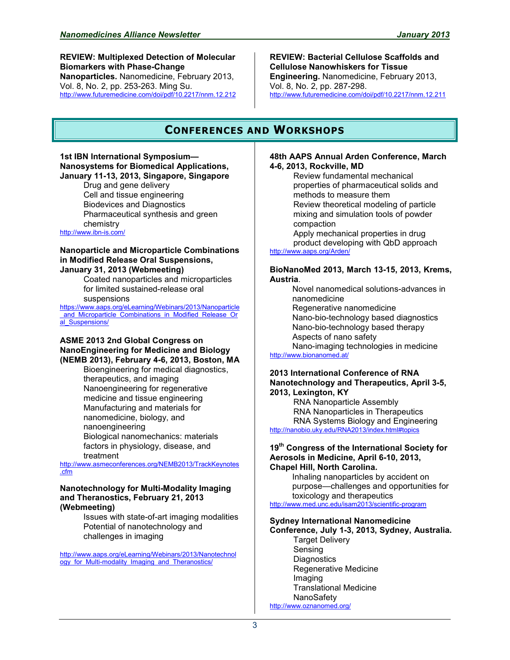**REVIEW: Multiplexed Detection of Molecular Biomarkers with Phase-Change Nanoparticles.** Nanomedicine, February 2013, Vol. 8, No. 2, pp. 253-263. Ming Su. <http://www.futuremedicine.com/doi/pdf/10.2217/nnm.12.212> **REVIEW: Bacterial Cellulose Scaffolds and Cellulose Nanowhiskers for Tissue Engineering.** Nanomedicine, February 2013, Vol. 8, No. 2, pp. 287-298. <http://www.futuremedicine.com/doi/pdf/10.2217/nnm.12.211>

## **CONFERENCES AND WORKSHOPS**

#### **1st IBN International Symposium— Nanosystems for Biomedical Applications, January 11-13, 2013, Singapore, Singapore**

Drug and gene delivery Cell and tissue engineering Biodevices and Diagnostics Pharmaceutical synthesis and green chemistry

<http://www.ibn-is.com/>

#### **Nanoparticle and Microparticle Combinations in Modified Release Oral Suspensions, January 31, 2013 (Webmeeting)**

Coated nanoparticles and microparticles for limited sustained-release oral suspensions

[https://www.aaps.org/eLearning/Webinars/2013/Nanoparticle](https://www.aaps.org/eLearning/Webinars/2013/Nanoparticle_and_Microparticle_Combinations_in_Modified_Release_Oral_Suspensions/) [\\_and\\_Microparticle\\_Combinations\\_in\\_Modified\\_Release\\_Or](https://www.aaps.org/eLearning/Webinars/2013/Nanoparticle_and_Microparticle_Combinations_in_Modified_Release_Oral_Suspensions/) al Suspensions/

#### **ASME 2013 2nd Global Congress on NanoEngineering for Medicine and Biology (NEMB 2013), February 4-6, 2013, Boston, MA**

Bioengineering for medical diagnostics, therapeutics, and imaging Nanoengineering for regenerative medicine and tissue engineering Manufacturing and materials for nanomedicine, biology, and nanoengineering Biological nanomechanics: materials factors in physiology, disease, and treatment

[http://www.asmeconferences.org/NEMB2013/TrackKeynotes](http://www.asmeconferences.org/NEMB2013/TrackKeynotes.cfm) [.cfm](http://www.asmeconferences.org/NEMB2013/TrackKeynotes.cfm)

#### **Nanotechnology for Multi-Modality Imaging and Theranostics, February 21, 2013 (Webmeeting)**

Issues with state-of-art imaging modalities Potential of nanotechnology and challenges in imaging

[http://www.aaps.org/eLearning/Webinars/2013/Nanotechnol](http://www.aaps.org/eLearning/Webinars/2013/Nanotechnology_for_Multi-modality_Imaging_and_Theranostics/) ogy for Multi-modality Imaging and Theranostics/

#### **48th AAPS Annual Arden Conference, March 4-6, 2013, Rockville, MD**

Review fundamental mechanical properties of pharmaceutical solids and methods to measure them Review theoretical modeling of particle mixing and simulation tools of powder compaction Apply mechanical properties in drug product developing with QbD approach <http://www.aaps.org/Arden/>

#### **BioNanoMed 2013, March 13-15, 2013, Krems, Austria**.

Novel nanomedical solutions-advances in nanomedicine Regenerative nanomedicine Nano-bio-technology based diagnostics Nano-bio-technology based therapy Aspects of nano safety Nano-imaging technologies in medicine

<http://www.bionanomed.at/>

#### **2013 International Conference of RNA Nanotechnology and Therapeutics, April 3-5, 2013, Lexington, KY**

RNA Nanoparticle Assembly RNA Nanoparticles in Therapeutics RNA Systems Biology and Engineering [http://nanobio.uky.edu/RNA2013/index.html#topics](http://nanobio.uky.edu/RNA2013/index.html)

#### **19th Congress of the International Society for Aerosols in Medicine, April 6-10, 2013, Chapel Hill, North Carolina.**

Inhaling nanoparticles by accident on purpose—challenges and opportunities for toxicology and therapeutics

<http://www.med.unc.edu/isam2013/scientific-program>

#### **Sydney International Nanomedicine**

**Conference, July 1-3, 2013, Sydney, Australia.** Target Delivery Sensing

**Diagnostics** Regenerative Medicine Imaging Translational Medicine NanoSafety <http://www.oznanomed.org/>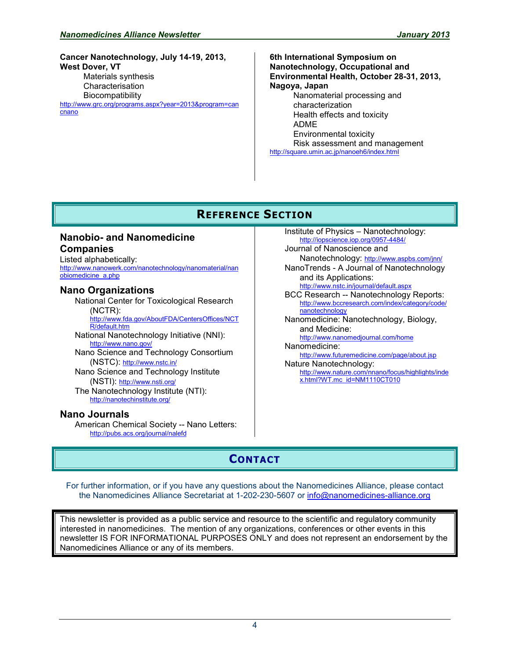**Cancer Nanotechnology, July 14-19, 2013, West Dover, VT** Materials synthesis **Characterisation Biocompatibility** [http://www.grc.org/programs.aspx?year=2013&program=can](http://www.grc.org/programs.aspx?year=2013&program=cancnano) [cnano](http://www.grc.org/programs.aspx?year=2013&program=cancnano)

**6th International Symposium on Nanotechnology, Occupational and Environmental Health, October 28-31, 2013, Nagoya, Japan** Nanomaterial processing and characterization Health effects and toxicity ADME Environmental toxicity Risk assessment and management <http://square.umin.ac.jp/nanoeh6/index.html>

# **REFERENCE SECTION**

## **Nanobio- and Nanomedicine Companies**

Listed alphabetically: [http://www.nanowerk.com/nanotechnology/nanomaterial/nan](http://www.nanowerk.com/nanotechnology/nanomaterial/nanobiomedicine_a.php) [obiomedicine\\_a.php](http://www.nanowerk.com/nanotechnology/nanomaterial/nanobiomedicine_a.php)

## **Nano Organizations**

National Center for Toxicological Research (NCTR): [http://www.fda.gov/AboutFDA/CentersOffices/NCT](http://www.fda.gov/AboutFDA/CentersOffices/NCTR/default.htm) [R/default.htm](http://www.fda.gov/AboutFDA/CentersOffices/NCTR/default.htm) National Nanotechnology Initiative (NNI):

<http://www.nano.gov/> Nano Science and Technology Consortium

(NSTC): <http://www.nstc.in/>

Nano Science and Technology Institute (NSTI): <http://www.nsti.org/> The Nanotechnology Institute (NTI): <http://nanotechinstitute.org/>

### **Nano Journals**

American Chemical Society -- Nano Letters: <http://pubs.acs.org/journal/nalefd>

Institute of Physics – Nanotechnology: <http://iopscience.iop.org/0957-4484/>

Journal of Nanoscience and Nanotechnology: <http://www.aspbs.com/jnn/> NanoTrends - A Journal of Nanotechnology and its Applications:

<http://www.nstc.in/journal/default.aspx>

BCC Research -- Nanotechnology Reports: [http://www.bccresearch.com/index/category/code/](http://www.bccresearch.com/index/category/code/nanotechnology) [nanotechnology](http://www.bccresearch.com/index/category/code/nanotechnology)

Nanomedicine: Nanotechnology, Biology, and Medicine: <http://www.nanomedjournal.com/home>

Nanomedicine: <http://www.futuremedicine.com/page/about.jsp> Nature Nanotechnology:

[http://www.nature.com/nnano/focus/highlights/inde](http://www.nature.com/nnano/focus/highlights/index.html?WT.mc_id=NM1110CT010) [x.html?WT.mc\\_id=NM1110CT010](http://www.nature.com/nnano/focus/highlights/index.html?WT.mc_id=NM1110CT010) 

# **CONTACT**

For further information, or if you have any questions about the Nanomedicines Alliance, please contact the Nanomedicines Alliance Secretariat at 1-202-230-5607 or [info@nanomedicines-alliance.org](mailto:info@nanomedicines-alliance.org)

This newsletter is provided as a public service and resource to the scientific and regulatory community interested in nanomedicines. The mention of any organizations, conferences or other events in this newsletter IS FOR INFORMATIONAL PURPOSES ONLY and does not represent an endorsement by the Nanomedicines Alliance or any of its members.